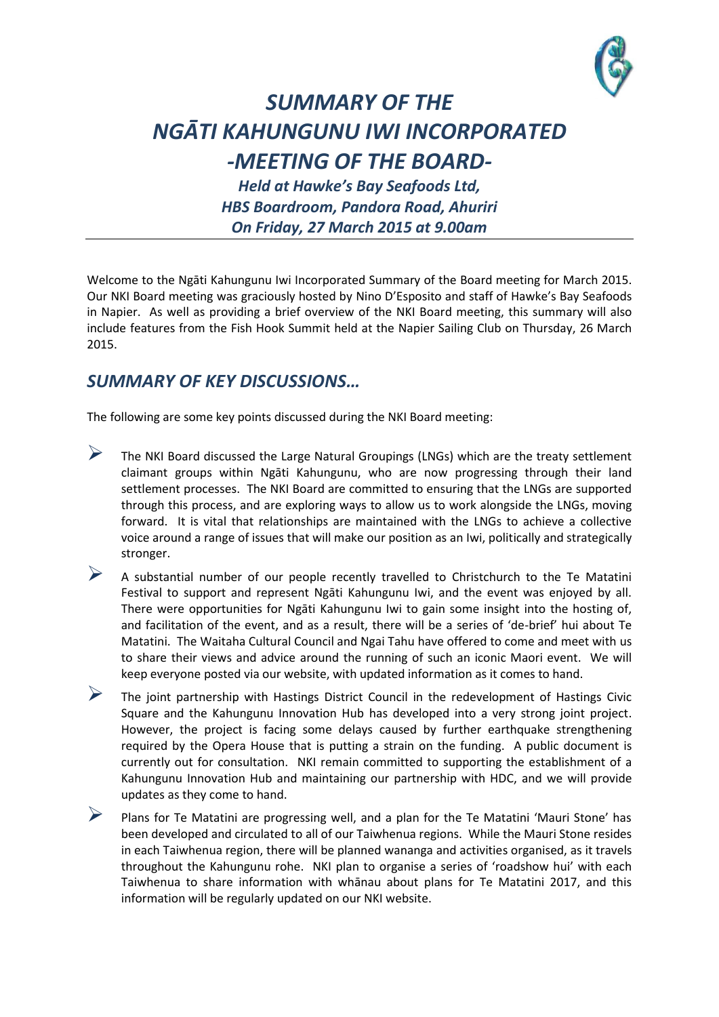

## *SUMMARY OF THE NGĀTI KAHUNGUNU IWI INCORPORATED -MEETING OF THE BOARD-*

*Held at Hawke's Bay Seafoods Ltd, HBS Boardroom, Pandora Road, Ahuriri On Friday, 27 March 2015 at 9.00am*

Welcome to the Ngāti Kahungunu Iwi Incorporated Summary of the Board meeting for March 2015. Our NKI Board meeting was graciously hosted by Nino D'Esposito and staff of Hawke's Bay Seafoods in Napier. As well as providing a brief overview of the NKI Board meeting, this summary will also include features from the Fish Hook Summit held at the Napier Sailing Club on Thursday, 26 March 2015.

## *SUMMARY OF KEY DISCUSSIONS…*

The following are some key points discussed during the NKI Board meeting:

- $\triangleright$  The NKI Board discussed the Large Natural Groupings (LNGs) which are the treaty settlement claimant groups within Ngāti Kahungunu, who are now progressing through their land settlement processes. The NKI Board are committed to ensuring that the LNGs are supported through this process, and are exploring ways to allow us to work alongside the LNGs, moving forward. It is vital that relationships are maintained with the LNGs to achieve a collective voice around a range of issues that will make our position as an Iwi, politically and strategically stronger.
- $\triangleright$  A substantial number of our people recently travelled to Christchurch to the Te Matatini Festival to support and represent Ngāti Kahungunu Iwi, and the event was enjoyed by all. There were opportunities for Ngāti Kahungunu Iwi to gain some insight into the hosting of, and facilitation of the event, and as a result, there will be a series of 'de-brief' hui about Te Matatini. The Waitaha Cultural Council and Ngai Tahu have offered to come and meet with us to share their views and advice around the running of such an iconic Maori event. We will keep everyone posted via our website, with updated information as it comes to hand.
- $\triangleright$  The joint partnership with Hastings District Council in the redevelopment of Hastings Civic Square and the Kahungunu Innovation Hub has developed into a very strong joint project. However, the project is facing some delays caused by further earthquake strengthening required by the Opera House that is putting a strain on the funding. A public document is currently out for consultation. NKI remain committed to supporting the establishment of a Kahungunu Innovation Hub and maintaining our partnership with HDC, and we will provide updates as they come to hand.
- Plans for Te Matatini are progressing well, and a plan for the Te Matatini 'Mauri Stone' has been developed and circulated to all of our Taiwhenua regions. While the Mauri Stone resides in each Taiwhenua region, there will be planned wananga and activities organised, as it travels throughout the Kahungunu rohe. NKI plan to organise a series of 'roadshow hui' with each Taiwhenua to share information with whānau about plans for Te Matatini 2017, and this information will be regularly updated on our NKI website.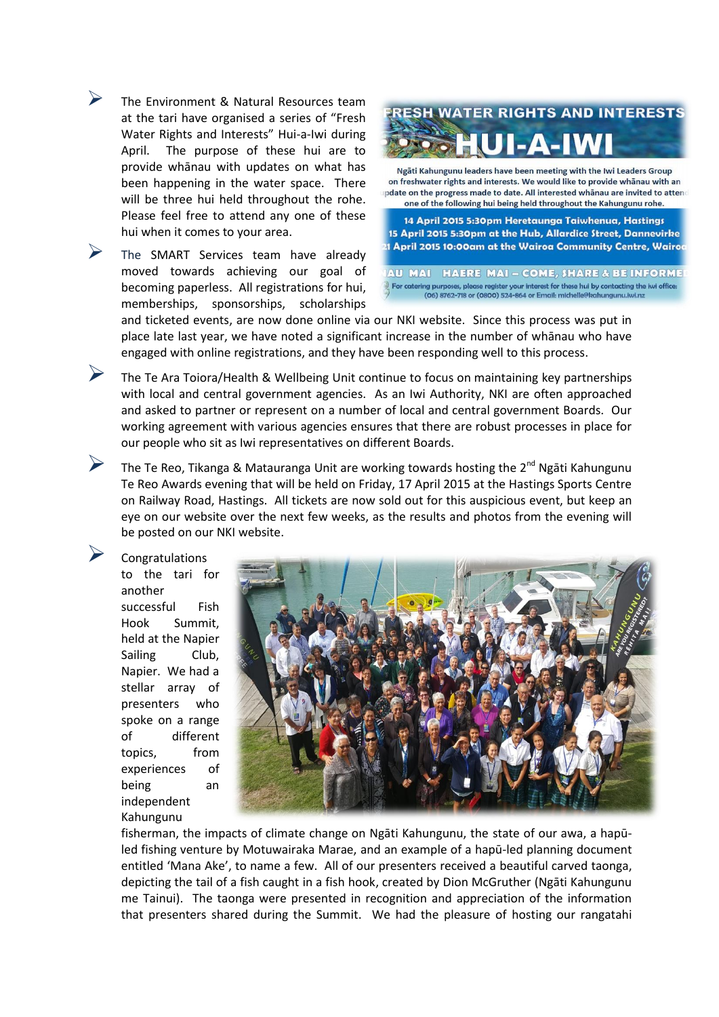The Environment & Natural Resources team at the tari have organised a series of "Fresh Water Rights and Interests" Hui-a-Iwi during April. The purpose of these hui are to provide whānau with updates on what has been happening in the water space. There will be three hui held throughout the rohe. Please feel free to attend any one of these hui when it comes to your area.

 The SMART Services team have already moved towards achieving our goal of becoming paperless. All registrations for hui, memberships, sponsorships, scholarships



Ngāti Kahungunu leaders have been meeting with the Iwi Leaders Group on freshwater rights and interests. We would like to provide whanau with an pdate on the progress made to date. All interested whanau are invited to attend one of the following hui being held throughout the Kahungunu rohe.

14 April 2015 5:30pm Heretaunga Taiwhenua, Hastings 15 April 2015 5:30pm at the Hub, Allardice Street, Dannevirke 21 April 2015 10:00am at the Wairoa Community Centre, Wairod

AU MAI HAERE MAI - COME, SHARE & BE INFORME For catering purposes, please register your interest for these hui by contacting the iwi office:<br>(06) 8762-718 or (0800) 524-864 or Email: michelle@kahungunu.iwi.nz

and ticketed events, are now done online via our NKI website. Since this process was put in place late last year, we have noted a significant increase in the number of whānau who have engaged with online registrations, and they have been responding well to this process.

 The Te Ara Toiora/Health & Wellbeing Unit continue to focus on maintaining key partnerships with local and central government agencies. As an Iwi Authority, NKI are often approached and asked to partner or represent on a number of local and central government Boards. Our working agreement with various agencies ensures that there are robust processes in place for our people who sit as Iwi representatives on different Boards.

The Te Reo, Tikanga & Matauranga Unit are working towards hosting the  $2^{nd}$  Ngāti Kahungunu Te Reo Awards evening that will be held on Friday, 17 April 2015 at the Hastings Sports Centre on Railway Road, Hastings. All tickets are now sold out for this auspicious event, but keep an eye on our website over the next few weeks, as the results and photos from the evening will be posted on our NKI website.

 Congratulations to the tari for another successful Fish Hook Summit, held at the Napier Sailing Club, Napier. We had a stellar array of presenters who spoke on a range of different topics, from experiences of being an independent Kahungunu



fisherman, the impacts of climate change on Ngāti Kahungunu, the state of our awa, a hapūled fishing venture by Motuwairaka Marae, and an example of a hapū-led planning document entitled 'Mana Ake', to name a few. All of our presenters received a beautiful carved taonga, depicting the tail of a fish caught in a fish hook, created by Dion McGruther (Ngāti Kahungunu me Tainui). The taonga were presented in recognition and appreciation of the information that presenters shared during the Summit. We had the pleasure of hosting our rangatahi